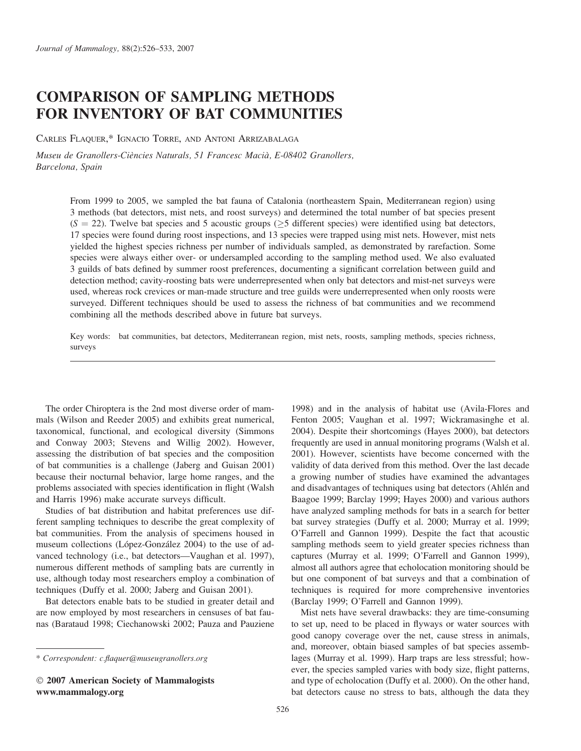# COMPARISON OF SAMPLING METHODS FOR INVENTORY OF BAT COMMUNITIES

CARLES FLAQUER,\* IGNACIO TORRE, AND ANTONI ARRIZABALAGA

Museu de Granollers-Ciències Naturals, 51 Francesc Macià, E-08402 Granollers, Barcelona, Spain

> From 1999 to 2005, we sampled the bat fauna of Catalonia (northeastern Spain, Mediterranean region) using 3 methods (bat detectors, mist nets, and roost surveys) and determined the total number of bat species present  $(S = 22)$ . Twelve bat species and 5 acoustic groups ( $\geq$ 5 different species) were identified using bat detectors, 17 species were found during roost inspections, and 13 species were trapped using mist nets. However, mist nets yielded the highest species richness per number of individuals sampled, as demonstrated by rarefaction. Some species were always either over- or undersampled according to the sampling method used. We also evaluated 3 guilds of bats defined by summer roost preferences, documenting a significant correlation between guild and detection method; cavity-roosting bats were underrepresented when only bat detectors and mist-net surveys were used, whereas rock crevices or man-made structure and tree guilds were underrepresented when only roosts were surveyed. Different techniques should be used to assess the richness of bat communities and we recommend combining all the methods described above in future bat surveys.

> Key words: bat communities, bat detectors, Mediterranean region, mist nets, roosts, sampling methods, species richness, surveys

The order Chiroptera is the 2nd most diverse order of mammals (Wilson and Reeder 2005) and exhibits great numerical, taxonomical, functional, and ecological diversity (Simmons and Conway 2003; Stevens and Willig 2002). However, assessing the distribution of bat species and the composition of bat communities is a challenge (Jaberg and Guisan 2001) because their nocturnal behavior, large home ranges, and the problems associated with species identification in flight (Walsh and Harris 1996) make accurate surveys difficult.

Studies of bat distribution and habitat preferences use different sampling techniques to describe the great complexity of bat communities. From the analysis of specimens housed in museum collections (López-González 2004) to the use of advanced technology (i.e., bat detectors—Vaughan et al. 1997), numerous different methods of sampling bats are currently in use, although today most researchers employ a combination of techniques (Duffy et al. 2000; Jaberg and Guisan 2001).

Bat detectors enable bats to be studied in greater detail and are now employed by most researchers in censuses of bat faunas (Barataud 1998; Ciechanowski 2002; Pauza and Pauziene

 2007 American Society of Mammalogists www.mammalogy.org

1998) and in the analysis of habitat use (Avila-Flores and Fenton 2005; Vaughan et al. 1997; Wickramasinghe et al. 2004). Despite their shortcomings (Hayes 2000), bat detectors frequently are used in annual monitoring programs (Walsh et al. 2001). However, scientists have become concerned with the validity of data derived from this method. Over the last decade a growing number of studies have examined the advantages and disadvantages of techniques using bat detectors (Ahlén and Baagoe 1999; Barclay 1999; Hayes 2000) and various authors have analyzed sampling methods for bats in a search for better bat survey strategies (Duffy et al. 2000; Murray et al. 1999; O'Farrell and Gannon 1999). Despite the fact that acoustic sampling methods seem to yield greater species richness than captures (Murray et al. 1999; O'Farrell and Gannon 1999), almost all authors agree that echolocation monitoring should be but one component of bat surveys and that a combination of techniques is required for more comprehensive inventories (Barclay 1999; O'Farrell and Gannon 1999).

Mist nets have several drawbacks: they are time-consuming to set up, need to be placed in flyways or water sources with good canopy coverage over the net, cause stress in animals, and, moreover, obtain biased samples of bat species assemblages (Murray et al. 1999). Harp traps are less stressful; however, the species sampled varies with body size, flight patterns, and type of echolocation (Duffy et al. 2000). On the other hand, bat detectors cause no stress to bats, although the data they

<sup>\*</sup> Correspondent: c.flaquer@museugranollers.org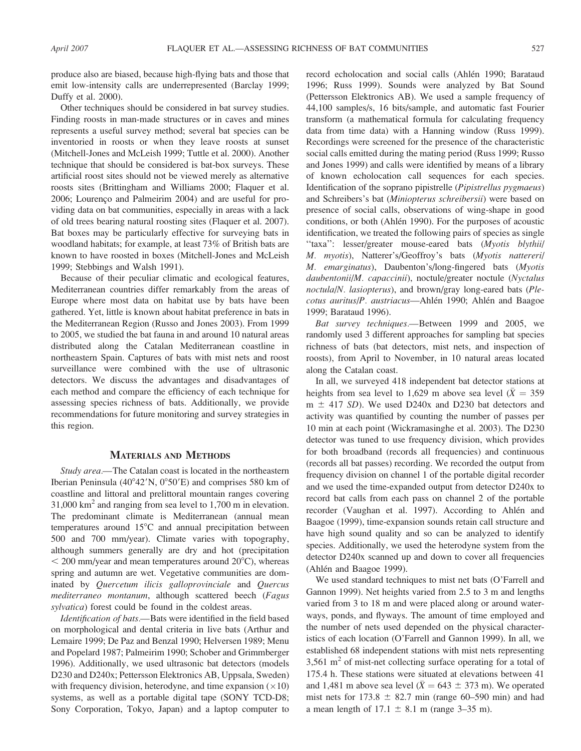produce also are biased, because high-flying bats and those that emit low-intensity calls are underrepresented (Barclay 1999; Duffy et al. 2000).

Other techniques should be considered in bat survey studies. Finding roosts in man-made structures or in caves and mines represents a useful survey method; several bat species can be inventoried in roosts or when they leave roosts at sunset (Mitchell-Jones and McLeish 1999; Tuttle et al. 2000). Another technique that should be considered is bat-box surveys. These artificial roost sites should not be viewed merely as alternative roosts sites (Brittingham and Williams 2000; Flaquer et al. 2006; Lourenço and Palmeirim 2004) and are useful for providing data on bat communities, especially in areas with a lack of old trees bearing natural roosting sites (Flaquer et al. 2007). Bat boxes may be particularly effective for surveying bats in woodland habitats; for example, at least 73% of British bats are known to have roosted in boxes (Mitchell-Jones and McLeish 1999; Stebbings and Walsh 1991).

Because of their peculiar climatic and ecological features, Mediterranean countries differ remarkably from the areas of Europe where most data on habitat use by bats have been gathered. Yet, little is known about habitat preference in bats in the Mediterranean Region (Russo and Jones 2003). From 1999 to 2005, we studied the bat fauna in and around 10 natural areas distributed along the Catalan Mediterranean coastline in northeastern Spain. Captures of bats with mist nets and roost surveillance were combined with the use of ultrasonic detectors. We discuss the advantages and disadvantages of each method and compare the efficiency of each technique for assessing species richness of bats. Additionally, we provide recommendations for future monitoring and survey strategies in this region.

# MATERIALS AND METHODS

Study area.—The Catalan coast is located in the northeastern Iberian Peninsula (40°42′N, 0°50′E) and comprises 580 km of coastline and littoral and prelittoral mountain ranges covering 31,000 km<sup>2</sup> and ranging from sea level to 1,700 m in elevation. The predominant climate is Mediterranean (annual mean temperatures around  $15^{\circ}$ C and annual precipitation between 500 and 700 mm/year). Climate varies with topography, although summers generally are dry and hot (precipitation  $<$  200 mm/year and mean temperatures around 20 $^{\circ}$ C), whereas spring and autumn are wet. Vegetative communities are dominated by Quercetum ilicis galloprovinciale and Quercus mediterraneo montanum, although scattered beech (Fagus sylvatica) forest could be found in the coldest areas.

Identification of bats.—Bats were identified in the field based on morphological and dental criteria in live bats (Arthur and Lemaire 1999; De Paz and Benzal 1990; Helversen 1989; Menu and Popelard 1987; Palmeirim 1990; Schober and Grimmberger 1996). Additionally, we used ultrasonic bat detectors (models D230 and D240x; Pettersson Elektronics AB, Uppsala, Sweden) with frequency division, heterodyne, and time expansion  $(\times 10)$ systems, as well as a portable digital tape (SONY TCD-D8; Sony Corporation, Tokyo, Japan) and a laptop computer to record echolocation and social calls (Ahlén 1990; Barataud 1996; Russ 1999). Sounds were analyzed by Bat Sound (Pettersson Elektronics AB). We used a sample frequency of 44,100 samples/s, 16 bits/sample, and automatic fast Fourier transform (a mathematical formula for calculating frequency data from time data) with a Hanning window (Russ 1999). Recordings were screened for the presence of the characteristic social calls emitted during the mating period (Russ 1999; Russo and Jones 1999) and calls were identified by means of a library of known echolocation call sequences for each species. Identification of the soprano pipistrelle (Pipistrellus pygmaeus) and Schreibers's bat (Miniopterus schreibersii) were based on presence of social calls, observations of wing-shape in good conditions, or both (Ahlén 1990). For the purposes of acoustic identification, we treated the following pairs of species as single ''taxa'': lesser/greater mouse-eared bats (Myotis blythii/ M. myotis), Natterer's/Geoffroy's bats (Myotis nattereri/ M. emarginatus), Daubenton's/long-fingered bats (Myotis daubentonii/M. capaccinii), noctule/greater noctule (Nyctalus noctula/N. lasiopterus), and brown/gray long-eared bats (Plecotus auritus/P. austriacus—Ahlén 1990; Ahlén and Baagoe 1999; Barataud 1996).

Bat survey techniques.—Between 1999 and 2005, we randomly used 3 different approaches for sampling bat species richness of bats (bat detectors, mist nets, and inspection of roosts), from April to November, in 10 natural areas located along the Catalan coast.

In all, we surveyed 418 independent bat detector stations at heights from sea level to 1,629 m above sea level ( $\bar{X} = 359$ )  $m \pm 417$  SD). We used D240x and D230 bat detectors and activity was quantified by counting the number of passes per 10 min at each point (Wickramasinghe et al. 2003). The D230 detector was tuned to use frequency division, which provides for both broadband (records all frequencies) and continuous (records all bat passes) recording. We recorded the output from frequency division on channel 1 of the portable digital recorder and we used the time-expanded output from detector D240x to record bat calls from each pass on channel 2 of the portable recorder (Vaughan et al. 1997). According to Ahlén and Baagoe (1999), time-expansion sounds retain call structure and have high sound quality and so can be analyzed to identify species. Additionally, we used the heterodyne system from the detector D240x scanned up and down to cover all frequencies (Ahlén and Baagoe 1999).

We used standard techniques to mist net bats (O'Farrell and Gannon 1999). Net heights varied from 2.5 to 3 m and lengths varied from 3 to 18 m and were placed along or around waterways, ponds, and flyways. The amount of time employed and the number of nets used depended on the physical characteristics of each location (O'Farrell and Gannon 1999). In all, we established 68 independent stations with mist nets representing  $3,561 \text{ m}^2$  of mist-net collecting surface operating for a total of 175.4 h. These stations were situated at elevations between 41 and 1,481 m above sea level ( $\bar{X} = 643 \pm 373$  m). We operated mist nets for  $173.8 \pm 82.7$  min (range 60–590 min) and had a mean length of  $17.1 \pm 8.1$  m (range 3–35 m).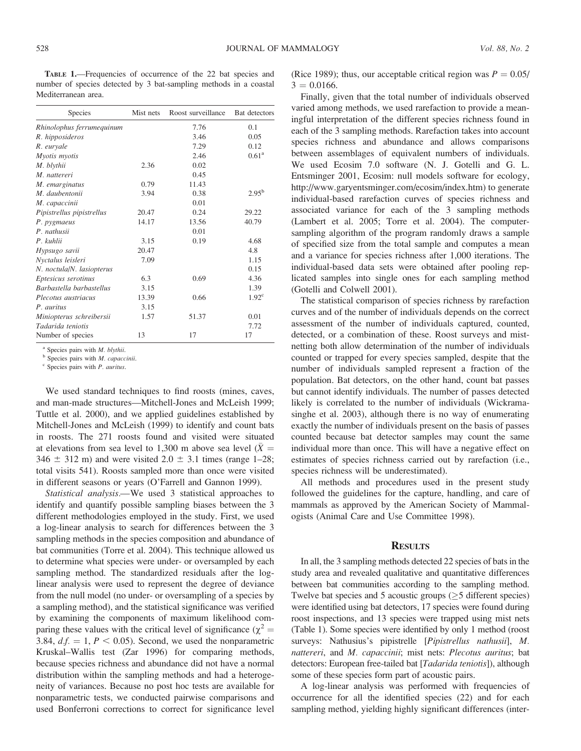TABLE 1.—Frequencies of occurrence of the 22 bat species and number of species detected by 3 bat-sampling methods in a coastal Mediterranean area.

| Species                   | Mist nets | Roost surveillance | Bat detectors     |
|---------------------------|-----------|--------------------|-------------------|
| Rhinolophus ferrumequinum |           | 7.76               | 0.1               |
| R. hipposideros           |           | 3.46               | 0.05              |
| R. euryale                |           | 7.29               | 0.12              |
| Myotis myotis             |           | 2.46               | 0.61 <sup>a</sup> |
| M. blythii                | 2.36      | 0.02               |                   |
| M. nattereri              |           | 0.45               |                   |
| M. emarginatus            | 0.79      | 11.43              |                   |
| M. daubentonii            | 3.94      | 0.38               | $2.95^{b}$        |
| M. capaccinii             |           | 0.01               |                   |
| Pipistrellus pipistrellus | 20.47     | 0.24               | 29.22             |
| P. pygmaeus               | 14.17     | 13.56              | 40.79             |
| $P.$ nathusii             |           | 0.01               |                   |
| P. kuthlii                | 3.15      | 0.19               | 4.68              |
| Hypsugo savii             | 20.47     |                    | 4.8               |
| Nyctalus leisleri         | 7.09      |                    | 1.15              |
| N. noctula/N. lasiopterus |           |                    | 0.15              |
| Eptesicus serotinus       | 6.3       | 0.69               | 4.36              |
| Barbastella barbastellus  | 3.15      |                    | 1.39              |
| Plecotus austriacus       | 13.39     | 0.66               | 1.92 <sup>c</sup> |
| P. auritus                | 3.15      |                    |                   |
| Miniopterus schreibersii  | 1.57      | 51.37              | 0.01              |
| Tadarida teniotis         |           |                    | 7.72              |
| Number of species         | 13        | 17                 | 17                |

 $a$  Species pairs with  $M.$  blythii.

 $<sup>b</sup>$  Species pairs with *M. capaccinii*.</sup>

 $c$  Species pairs with  $P$ . auritus.

We used standard techniques to find roosts (mines, caves, and man-made structures—Mitchell-Jones and McLeish 1999; Tuttle et al. 2000), and we applied guidelines established by Mitchell-Jones and McLeish (1999) to identify and count bats in roosts. The 271 roosts found and visited were situated at elevations from sea level to 1,300 m above sea level ( $\bar{X} =$  $346 \pm 312$  m) and were visited  $2.0 \pm 3.1$  times (range 1–28; total visits 541). Roosts sampled more than once were visited in different seasons or years (O'Farrell and Gannon 1999).

Statistical analysis.—We used 3 statistical approaches to identify and quantify possible sampling biases between the 3 different methodologies employed in the study. First, we used a log-linear analysis to search for differences between the 3 sampling methods in the species composition and abundance of bat communities (Torre et al. 2004). This technique allowed us to determine what species were under- or oversampled by each sampling method. The standardized residuals after the loglinear analysis were used to represent the degree of deviance from the null model (no under- or oversampling of a species by a sampling method), and the statistical significance was verified by examining the components of maximum likelihood comparing these values with the critical level of significance ( $\chi^2$  = 3.84,  $df = 1, P < 0.05$ . Second, we used the nonparametric Kruskal–Wallis test (Zar 1996) for comparing methods, because species richness and abundance did not have a normal distribution within the sampling methods and had a heterogeneity of variances. Because no post hoc tests are available for nonparametric tests, we conducted pairwise comparisons and used Bonferroni corrections to correct for significance level

(Rice 1989); thus, our acceptable critical region was  $P = 0.05/$  $3 = 0.0166$ .

Finally, given that the total number of individuals observed varied among methods, we used rarefaction to provide a meaningful interpretation of the different species richness found in each of the 3 sampling methods. Rarefaction takes into account species richness and abundance and allows comparisons between assemblages of equivalent numbers of individuals. We used Ecosim 7.0 software (N. J. Gotelli and G. L. Entsminger 2001, Ecosim: null models software for ecology, http://www.garyentsminger.com/ecosim/index.htm) to generate individual-based rarefaction curves of species richness and associated variance for each of the 3 sampling methods (Lambert et al. 2005; Torre et al. 2004). The computersampling algorithm of the program randomly draws a sample of specified size from the total sample and computes a mean and a variance for species richness after 1,000 iterations. The individual-based data sets were obtained after pooling replicated samples into single ones for each sampling method (Gotelli and Colwell 2001).

The statistical comparison of species richness by rarefaction curves and of the number of individuals depends on the correct assessment of the number of individuals captured, counted, detected, or a combination of these. Roost surveys and mistnetting both allow determination of the number of individuals counted or trapped for every species sampled, despite that the number of individuals sampled represent a fraction of the population. Bat detectors, on the other hand, count bat passes but cannot identify individuals. The number of passes detected likely is correlated to the number of individuals (Wickramasinghe et al. 2003), although there is no way of enumerating exactly the number of individuals present on the basis of passes counted because bat detector samples may count the same individual more than once. This will have a negative effect on estimates of species richness carried out by rarefaction (i.e., species richness will be underestimated).

All methods and procedures used in the present study followed the guidelines for the capture, handling, and care of mammals as approved by the American Society of Mammalogists (Animal Care and Use Committee 1998).

# **RESULTS**

In all, the 3 sampling methods detected 22 species of bats in the study area and revealed qualitative and quantitative differences between bat communities according to the sampling method. Twelve bat species and 5 acoustic groups  $($ >5 different species) were identified using bat detectors, 17 species were found during roost inspections, and 13 species were trapped using mist nets (Table 1). Some species were identified by only 1 method (roost surveys: Nathusius's pipistrelle [Pipistrellus nathusii], M. nattereri, and M. capaccinii; mist nets: Plecotus auritus; bat detectors: European free-tailed bat [Tadarida teniotis]), although some of these species form part of acoustic pairs.

A log-linear analysis was performed with frequencies of occurrence for all the identified species (22) and for each sampling method, yielding highly significant differences (inter-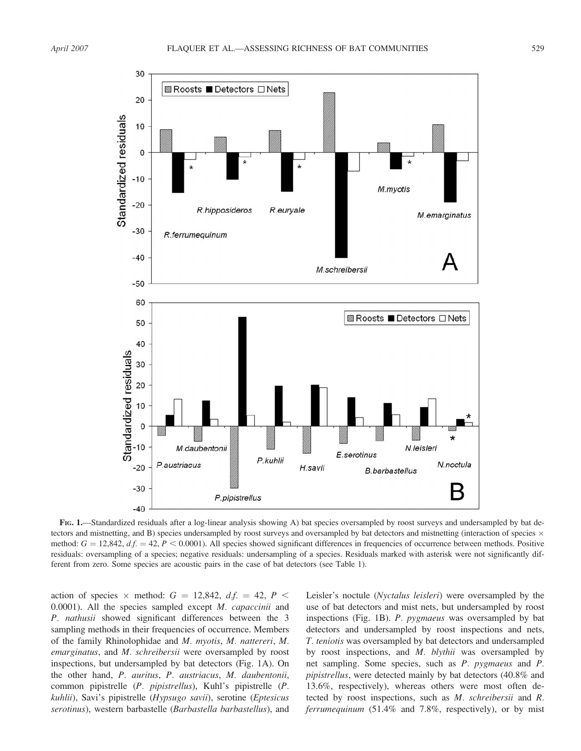

FIG. 1.—Standardized residuals after a log-linear analysis showing A) bat species oversampled by roost surveys and undersampled by bat detectors and mistnetting, and B) species undersampled by roost surveys and oversampled by bat detectors and mistnetting (interaction of species  $\times$ method:  $G = 12,842, d.f. = 42, P < 0.0001$ . All species showed significant differences in frequencies of occurrence between methods. Positive residuals: oversampling of a species; negative residuals: undersampling of a species. Residuals marked with asterisk were not significantly different from zero. Some species are acoustic pairs in the case of bat detectors (see Table 1).

action of species  $\times$  method:  $G = 12,842, df. = 42, P <$ 0.0001). All the species sampled except  $M$ . *capaccinii* and P. nathusii showed significant differences between the 3 sampling methods in their frequencies of occurrence. Members of the family Rhinolophidae and M. myotis, M. nattereri, M. emarginatus, and M. schreibersii were oversampled by roost inspections, but undersampled by bat detectors (Fig. 1A). On the other hand, P. auritus, P. austriacus, M. daubentonii, common pipistrelle (P. pipistrellus), Kuhl's pipistrelle (P. kuhlii), Savi's pipistrelle (Hypsugo savii), serotine (Eptesicus serotinus), western barbastelle (Barbastella barbastellus), and

Leisler's noctule (Nyctalus leisleri) were oversampled by the use of bat detectors and mist nets, but undersampled by roost inspections (Fig. 1B). P. pygmaeus was oversampled by bat detectors and undersampled by roost inspections and nets, T. teniotis was oversampled by bat detectors and undersampled by roost inspections, and  $M$ . blythii was oversampled by net sampling. Some species, such as P. pygmaeus and P. pipistrellus, were detected mainly by bat detectors (40.8% and 13.6%, respectively), whereas others were most often detected by roost inspections, such as M. schreibersii and R. ferrumequinum (51.4% and 7.8%, respectively), or by mist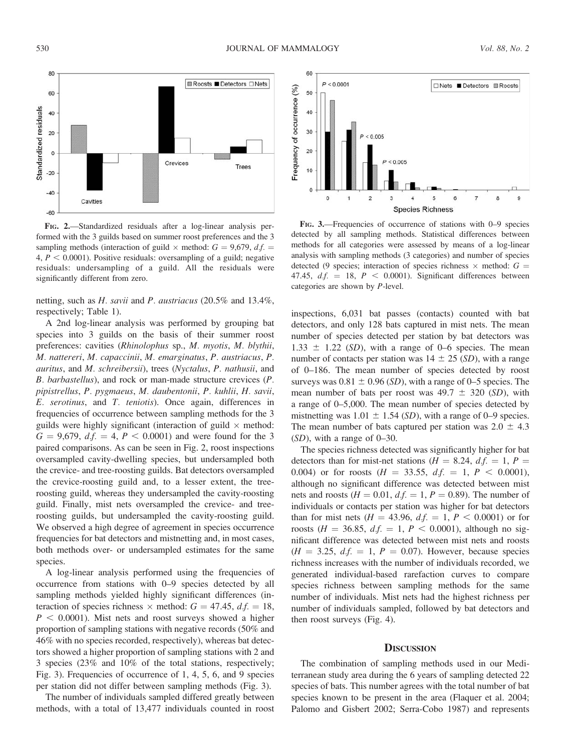

FIG. 2.—Standardized residuals after a log-linear analysis performed with the 3 guilds based on summer roost preferences and the 3 sampling methods (interaction of guild  $\times$  method:  $G = 9,679, df =$ 4,  $P < 0.0001$ ). Positive residuals: oversampling of a guild; negative residuals: undersampling of a guild. All the residuals were significantly different from zero.

netting, such as H. savii and P. austriacus (20.5% and 13.4%, respectively; Table 1).

A 2nd log-linear analysis was performed by grouping bat species into 3 guilds on the basis of their summer roost preferences: cavities (Rhinolophus sp., M. myotis, M. blythii, M. nattereri, M. capaccinii, M. emarginatus, P. austriacus, P. auritus, and M. schreibersii), trees (Nyctalus, P. nathusii, and B. barbastellus), and rock or man-made structure crevices (P. pipistrellus, P. pygmaeus, M. daubentonii, P. kuhlii, H. savii, E. serotinus, and T. teniotis). Once again, differences in frequencies of occurrence between sampling methods for the 3 guilds were highly significant (interaction of guild  $\times$  method:  $G = 9,679, d.f. = 4, P < 0.0001$  and were found for the 3 paired comparisons. As can be seen in Fig. 2, roost inspections oversampled cavity-dwelling species, but undersampled both the crevice- and tree-roosting guilds. Bat detectors oversampled the crevice-roosting guild and, to a lesser extent, the treeroosting guild, whereas they undersampled the cavity-roosting guild. Finally, mist nets oversampled the crevice- and treeroosting guilds, but undersampled the cavity-roosting guild. We observed a high degree of agreement in species occurrence frequencies for bat detectors and mistnetting and, in most cases, both methods over- or undersampled estimates for the same species.

A log-linear analysis performed using the frequencies of occurrence from stations with 0–9 species detected by all sampling methods yielded highly significant differences (interaction of species richness  $\times$  method:  $G = 47.45$ ,  $df = 18$ ,  $P < 0.0001$ ). Mist nets and roost surveys showed a higher proportion of sampling stations with negative records (50% and 46% with no species recorded, respectively), whereas bat detectors showed a higher proportion of sampling stations with 2 and 3 species (23% and 10% of the total stations, respectively; Fig. 3). Frequencies of occurrence of 1, 4, 5, 6, and 9 species per station did not differ between sampling methods (Fig. 3).

The number of individuals sampled differed greatly between methods, with a total of 13,477 individuals counted in roost



FIG. 3.—Frequencies of occurrence of stations with 0–9 species detected by all sampling methods. Statistical differences between methods for all categories were assessed by means of a log-linear analysis with sampling methods (3 categories) and number of species detected (9 species; interaction of species richness  $\times$  method:  $G =$ 47.45,  $df. = 18$ ,  $P < 0.0001$ ). Significant differences between categories are shown by P-level.

inspections, 6,031 bat passes (contacts) counted with bat detectors, and only 128 bats captured in mist nets. The mean number of species detected per station by bat detectors was  $1.33 \pm 1.22$  (SD), with a range of 0–6 species. The mean number of contacts per station was  $14 \pm 25$  (SD), with a range of 0–186. The mean number of species detected by roost surveys was  $0.81 \pm 0.96$  (SD), with a range of 0–5 species. The mean number of bats per roost was  $49.7 \pm 320$  (SD), with a range of 0–5,000. The mean number of species detected by mistnetting was  $1.01 \pm 1.54$  (SD), with a range of 0–9 species. The mean number of bats captured per station was  $2.0 \pm 4.3$  $(SD)$ , with a range of 0–30.

The species richness detected was significantly higher for bat detectors than for mist-net stations ( $H = 8.24$ ,  $d.f. = 1$ ,  $P =$ 0.004) or for roosts  $(H = 33.55, df. = 1, P < 0.0001)$ , although no significant difference was detected between mist nets and roosts ( $H = 0.01$ ,  $df = 1$ ,  $P = 0.89$ ). The number of individuals or contacts per station was higher for bat detectors than for mist nets ( $H = 43.96$ ,  $d.f. = 1, P < 0.0001$ ) or for roosts ( $H = 36.85$ ,  $df = 1$ ,  $P < 0.0001$ ), although no significant difference was detected between mist nets and roosts  $(H = 3.25, d.f. = 1, P = 0.07)$ . However, because species richness increases with the number of individuals recorded, we generated individual-based rarefaction curves to compare species richness between sampling methods for the same number of individuals. Mist nets had the highest richness per number of individuals sampled, followed by bat detectors and then roost surveys (Fig. 4).

#### **DISCUSSION**

The combination of sampling methods used in our Mediterranean study area during the 6 years of sampling detected 22 species of bats. This number agrees with the total number of bat species known to be present in the area (Flaquer et al. 2004; Palomo and Gisbert 2002; Serra-Cobo 1987) and represents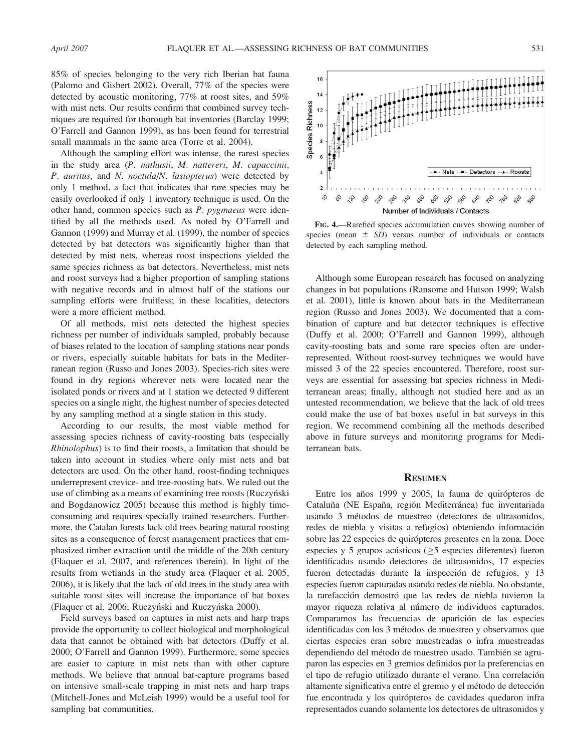85% of species belonging to the very rich Iberian bat fauna (Palomo and Gisbert 2002). Overall, 77% of the species were detected by acoustic monitoring, 77% at roost sites, and 59% with mist nets. Our results confirm that combined survey techniques are required for thorough bat inventories (Barclay 1999; O'Farrell and Gannon 1999), as has been found for terrestrial small mammals in the same area (Torre et al. 2004).

Although the sampling effort was intense, the rarest species in the study area (P. nathusii, M. nattereri, M. capaccinii, P. auritus, and N. noctula/N. lasiopterus) were detected by only 1 method, a fact that indicates that rare species may be easily overlooked if only 1 inventory technique is used. On the other hand, common species such as P. pygmaeus were identified by all the methods used. As noted by O'Farrell and Gannon (1999) and Murray et al. (1999), the number of species detected by bat detectors was significantly higher than that detected by mist nets, whereas roost inspections yielded the same species richness as bat detectors. Nevertheless, mist nets and roost surveys had a higher proportion of sampling stations with negative records and in almost half of the stations our sampling efforts were fruitless; in these localities, detectors were a more efficient method.

Of all methods, mist nets detected the highest species richness per number of individuals sampled, probably because of biases related to the location of sampling stations near ponds or rivers, especially suitable habitats for bats in the Mediterranean region (Russo and Jones 2003). Species-rich sites were found in dry regions wherever nets were located near the isolated ponds or rivers and at 1 station we detected 9 different species on a single night, the highest number of species detected by any sampling method at a single station in this study.

According to our results, the most viable method for assessing species richness of cavity-roosting bats (especially Rhinolophus) is to find their roosts, a limitation that should be taken into account in studies where only mist nets and bat detectors are used. On the other hand, roost-finding techniques underrepresent crevice- and tree-roosting bats. We ruled out the use of climbing as a means of examining tree roosts (Ruczyński and Bogdanowicz 2005) because this method is highly timeconsuming and requires specially trained researchers. Furthermore, the Catalan forests lack old trees bearing natural roosting sites as a consequence of forest management practices that emphasized timber extraction until the middle of the 20th century (Flaquer et al. 2007, and references therein). In light of the results from wetlands in the study area (Flaquer et al. 2005, 2006), it is likely that the lack of old trees in the study area with suitable roost sites will increase the importance of bat boxes (Flaquer et al. 2006; Ruczyński and Ruczyńska 2000).

Field surveys based on captures in mist nets and harp traps provide the opportunity to collect biological and morphological data that cannot be obtained with bat detectors (Duffy et al. 2000; O'Farrell and Gannon 1999). Furthermore, some species are easier to capture in mist nets than with other capture methods. We believe that annual bat-capture programs based on intensive small-scale trapping in mist nets and harp traps (Mitchell-Jones and McLeish 1999) would be a useful tool for sampling bat communities.



FIG. 4.—Rarefied species accumulation curves showing number of species (mean  $\pm$  SD) versus number of individuals or contacts detected by each sampling method.

Although some European research has focused on analyzing changes in bat populations (Ransome and Hutson 1999; Walsh et al. 2001), little is known about bats in the Mediterranean region (Russo and Jones 2003). We documented that a combination of capture and bat detector techniques is effective (Duffy et al. 2000; O'Farrell and Gannon 1999), although cavity-roosting bats and some rare species often are underrepresented. Without roost-survey techniques we would have missed 3 of the 22 species encountered. Therefore, roost surveys are essential for assessing bat species richness in Mediterranean areas; finally, although not studied here and as an untested recommendation, we believe that the lack of old trees could make the use of bat boxes useful in bat surveys in this region. We recommend combining all the methods described above in future surveys and monitoring programs for Mediterranean bats.

#### **RESUMEN**

Entre los años 1999 y 2005, la fauna de quirópteros de Cataluña (NE España, región Mediterránea) fue inventariada usando 3 métodos de muestreo (detectores de ultrasonidos, redes de niebla y visitas a refugios) obteniendo información sobre las 22 especies de quirópteros presentes en la zona. Doce especies y 5 grupos acústicos ( $>$ 5 especies diferentes) fueron identificadas usando detectores de ultrasonidos, 17 especies fueron detectadas durante la inspección de refugios, y 13 especies fueron capturadas usando redes de niebla. No obstante, la rarefacción demostró que las redes de niebla tuvieron la mayor riqueza relativa al número de individuos capturados. Comparamos las frecuencias de aparición de las especies identificadas con los 3 métodos de muestreo y observamos que ciertas especies eran sobre muestreadas o infra muestreadas dependiendo del método de muestreo usado. También se agruparon las especies en 3 gremios definidos por la preferencias en el tipo de refugio utilizado durante el verano. Una correlación altamente significativa entre el gremio y el método de detección fue encontrada y los quirópteros de cavidades quedaron infra representados cuando solamente los detectores de ultrasonidos y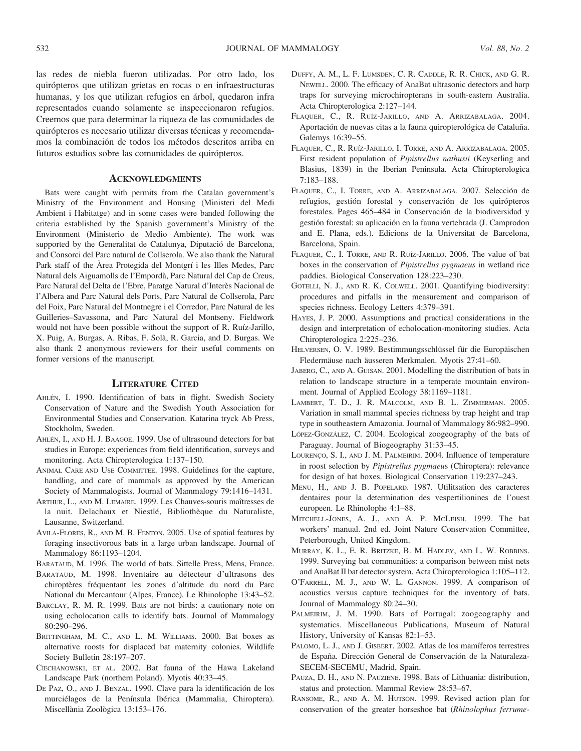las redes de niebla fueron utilizadas. Por otro lado, los quirópteros que utilizan grietas en rocas o en infraestructuras humanas, y los que utilizan refugios en árbol, quedaron infra representados cuando solamente se inspeccionaron refugios. Creemos que para determinar la riqueza de las comunidades de quirópteros es necesario utilizar diversas técnicas y recomendamos la combinación de todos los métodos descritos arriba en futuros estudios sobre las comunidades de quirópteros.

# **ACKNOWLEDGMENTS**

Bats were caught with permits from the Catalan government's Ministry of the Environment and Housing (Ministeri del Medi Ambient i Habitatge) and in some cases were banded following the criteria established by the Spanish government's Ministry of the Environment (Ministerio de Medio Ambiente). The work was supported by the Generalitat de Catalunya, Diputació de Barcelona, and Consorci del Parc natural de Collserola. We also thank the Natural Park staff of the Àrea Protegida del Montgrí i les Illes Medes, Parc Natural dels Aiguamolls de l'Empordà, Parc Natural del Cap de Creus, Parc Natural del Delta de l'Ebre, Paratge Natural d'Interès Nacional de l'Albera and Parc Natural dels Ports, Parc Natural de Collserola, Parc del Foix, Parc Natural del Montnegre i el Corredor, Parc Natural de les Guilleries–Savassona, and Parc Natural del Montseny. Fieldwork would not have been possible without the support of R. Ruíz-Jarillo, X. Puig, A. Burgas, A. Ribas, F. Solà, R. Garcia, and D. Burgas. We also thank 2 anonymous reviewers for their useful comments on former versions of the manuscript.

### LITERATURE CITED

- AHLÉN, I. 1990. Identification of bats in flight. Swedish Society Conservation of Nature and the Swedish Youth Association for Environmental Studies and Conservation. Katarina tryck Ab Press, Stockholm, Sweden.
- AHLÉN, I., AND H. J. BAAGOE. 1999. Use of ultrasound detectors for bat studies in Europe: experiences from field identification, surveys and monitoring. Acta Chiropterologica 1:137–150.
- ANIMAL CARE AND USE COMMITTEE. 1998. Guidelines for the capture, handling, and care of mammals as approved by the American Society of Mammalogists. Journal of Mammalogy 79:1416–1431.
- ARTHUR, L., AND M. LEMAIRE. 1999. Les Chauves-souris maîtresses de la nuit. Delachaux et Niestlé, Bibliothèque du Naturaliste, Lausanne, Switzerland.
- AVILA-FLORES, R., AND M. B. FENTON. 2005. Use of spatial features by foraging insectivorous bats in a large urban landscape. Journal of Mammalogy 86:1193–1204.
- BARATAUD, M. 1996. The world of bats. Sittelle Press, Mens, France.
- BARATAUD, M. 1998. Inventaire au détecteur d'ultrasons des chiroptères fréquentant les zones d'altitude du nord du Parc National du Mercantour (Alpes, France). Le Rhinolophe 13:43–52.
- BARCLAY, R. M. R. 1999. Bats are not birds: a cautionary note on using echolocation calls to identify bats. Journal of Mammalogy 80:290–296.
- BRITTINGHAM, M. C., AND L. M. WILLIAMS. 2000. Bat boxes as alternative roosts for displaced bat maternity colonies. Wildlife Society Bulletin 28:197–207.
- CIECHANOWSKI, ET AL. 2002. Bat fauna of the Hawa Lakeland Landscape Park (northern Poland). Myotis 40:33–45.
- DE PAZ, O., AND J. BENZAL. 1990. Clave para la identificación de los murciélagos de la Península Ibérica (Mammalia, Chiroptera). Miscellània Zoològica 13:153-176.
- DUFFY, A. M., L. F. LUMSDEN, C. R. CADDLE, R. R. CHICK, AND G. R. NEWELL. 2000. The efficacy of AnaBat ultrasonic detectors and harp traps for surveying microchiropterans in south-eastern Australia. Acta Chiropterologica 2:127–144.
- FLAQUER, C., R. RUÍZ-JARILLO, AND A. ARRIZABALAGA. 2004. Aportación de nuevas citas a la fauna quiropterológica de Cataluña. Galemys 16:39–55.
- FLAQUER, C., R. RUÍZ-JARILLO, I. TORRE, AND A. ARRIZABALAGA. 2005. First resident population of Pipistrellus nathusii (Keyserling and Blasius, 1839) in the Iberian Peninsula. Acta Chiropterologica 7:183–188.
- FLAQUER, C., I. TORRE, AND A. ARRIZABALAGA. 2007. Selección de refugios, gestión forestal y conservación de los quirópteros forestales. Pages 465–484 in Conservación de la biodiversidad y gestión forestal: su aplicación en la fauna vertebrada (J. Camprodon and E. Plana, eds.). Edicions de la Universitat de Barcelona, Barcelona, Spain.
- FLAQUER, C., I. TORRE, AND R. RUÍZ-JARILLO. 2006. The value of bat boxes in the conservation of Pipistrellus pygmaeus in wetland rice paddies. Biological Conservation 128:223–230.
- GOTELLI, N. J., AND R. K. COLWELL. 2001. Quantifying biodiversity: procedures and pitfalls in the measurement and comparison of species richness. Ecology Letters 4:379–391.
- HAYES, J. P. 2000. Assumptions and practical considerations in the design and interpretation of echolocation-monitoring studies. Acta Chiropterologica 2:225–236.
- HELVERSEN, O. V. 1989. Bestimmungsschlüssel für die Europäischen Fledermäuse nach äusseren Merkmalen. Myotis 27:41–60.
- JABERG, C., AND A. GUISAN. 2001. Modelling the distribution of bats in relation to landscape structure in a temperate mountain environment. Journal of Applied Ecology 38:1169–1181.
- LAMBERT, T. D., J. R. MALCOLM, AND B. L. ZIMMERMAN. 2005. Variation in small mammal species richness by trap height and trap type in southeastern Amazonia. Journal of Mammalogy 86:982–990.
- LÓPEZ-GONZÁLEZ, C. 2004. Ecological zoogeography of the bats of Paraguay. Journal of Biogeography 31:33–45.
- LOURENÇO, S. I., AND J. M. PALMEIRIM. 2004. Influence of temperature in roost selection by Pipistrellus pygmaeus (Chiroptera): relevance for design of bat boxes. Biological Conservation 119:237–243.
- MENU, H., AND J. B. POPELARD. 1987. Utilitsation des caracteres dentaires pour la determination des vespertilionines de l'ouest europeen. Le Rhinolophe 4:1–88.
- MITCHELL-JONES, A. J., AND A. P. MCLEISH. 1999. The bat workers' manual. 2nd ed. Joint Nature Conservation Committee, Peterborough, United Kingdom.
- MURRAY, K. L., E. R. BRITZKE, B. M. HADLEY, AND L. W. ROBBINS. 1999. Surveying bat communities: a comparison between mist nets and AnaBat II bat detector system. Acta Chiropterologica 1:105–112.
- O'FARRELL, M. J., AND W. L. GANNON. 1999. A comparison of acoustics versus capture techniques for the inventory of bats. Journal of Mammalogy 80:24–30.
- PALMEIRIM, J. M. 1990. Bats of Portugal: zoogeography and systematics. Miscellaneous Publications, Museum of Natural History, University of Kansas 82:1–53.
- PALOMO, L. J., AND J. GISBERT. 2002. Atlas de los mamíferos terrestres de España. Dirección General de Conservación de la Naturaleza-SECEM-SECEMU, Madrid, Spain.
- PAUZA, D. H., AND N. PAUZIENE. 1998. Bats of Lithuania: distribution, status and protection. Mammal Review 28:53–67.
- RANSOME, R., AND A. M. HUTSON. 1999. Revised action plan for conservation of the greater horseshoe bat (Rhinolophus ferrume-